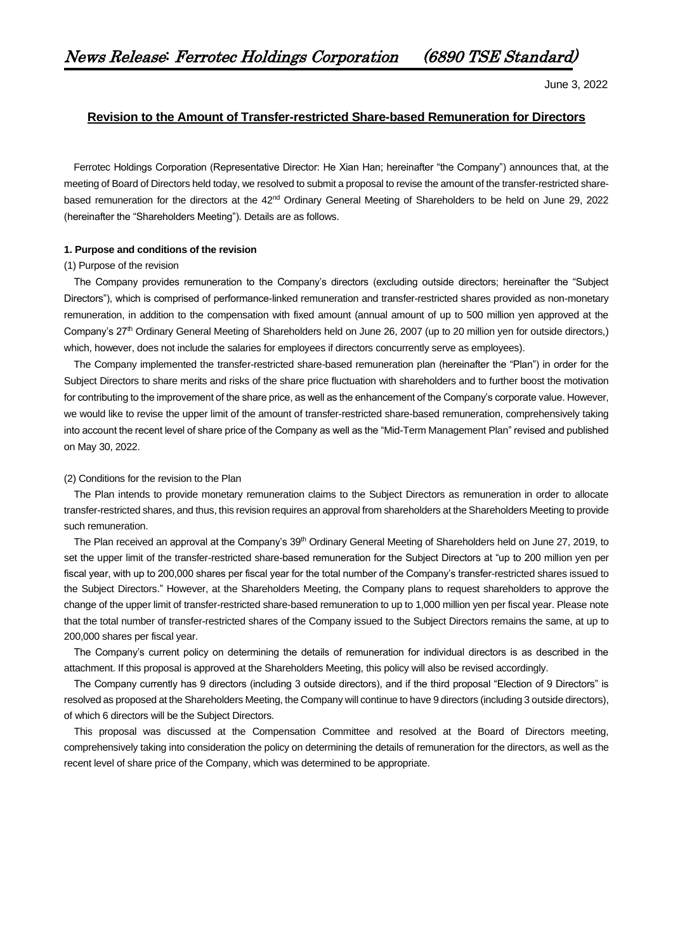June 3, 2022

# **Revision to the Amount of Transfer-restricted Share-based Remuneration for Directors**

Ferrotec Holdings Corporation (Representative Director: He Xian Han; hereinafter "the Company") announces that, at the meeting of Board of Directors held today, we resolved to submit a proposal to revise the amount of the transfer-restricted sharebased remuneration for the directors at the 42nd Ordinary General Meeting of Shareholders to be held on June 29, 2022 (hereinafter the "Shareholders Meeting"). Details are as follows.

#### **1. Purpose and conditions of the revision**

#### (1) Purpose of the revision

 The Company provides remuneration to the Company's directors (excluding outside directors; hereinafter the "Subject Directors"), which is comprised of performance-linked remuneration and transfer-restricted shares provided as non-monetary remuneration, in addition to the compensation with fixed amount (annual amount of up to 500 million yen approved at the Company's 27<sup>th</sup> Ordinary General Meeting of Shareholders held on June 26, 2007 (up to 20 million yen for outside directors,) which, however, does not include the salaries for employees if directors concurrently serve as employees).

The Company implemented the transfer-restricted share-based remuneration plan (hereinafter the "Plan") in order for the Subject Directors to share merits and risks of the share price fluctuation with shareholders and to further boost the motivation for contributing to the improvement of the share price, as well as the enhancement of the Company's corporate value. However, we would like to revise the upper limit of the amount of transfer-restricted share-based remuneration, comprehensively taking into account the recent level of share price of the Company as well as the "Mid-Term Management Plan" revised and published on May 30, 2022.

#### (2) Conditions for the revision to the Plan

 The Plan intends to provide monetary remuneration claims to the Subject Directors as remuneration in order to allocate transfer-restricted shares, and thus, this revision requires an approval from shareholders at the Shareholders Meeting to provide such remuneration.

The Plan received an approval at the Company's 39<sup>th</sup> Ordinary General Meeting of Shareholders held on June 27, 2019, to set the upper limit of the transfer-restricted share-based remuneration for the Subject Directors at "up to 200 million yen per fiscal year, with up to 200,000 shares per fiscal year for the total number of the Company's transfer-restricted shares issued to the Subject Directors." However, at the Shareholders Meeting, the Company plans to request shareholders to approve the change of the upper limit of transfer-restricted share-based remuneration to up to 1,000 million yen per fiscal year. Please note that the total number of transfer-restricted shares of the Company issued to the Subject Directors remains the same, at up to 200,000 shares per fiscal year.

 The Company's current policy on determining the details of remuneration for individual directors is as described in the attachment. If this proposal is approved at the Shareholders Meeting, this policy will also be revised accordingly.

 The Company currently has 9 directors (including 3 outside directors), and if the third proposal "Election of 9 Directors" is resolved as proposed at the Shareholders Meeting, the Company will continue to have 9 directors (including 3 outside directors), of which 6 directors will be the Subject Directors.

 This proposal was discussed at the Compensation Committee and resolved at the Board of Directors meeting, comprehensively taking into consideration the policy on determining the details of remuneration for the directors, as well as the recent level of share price of the Company, which was determined to be appropriate.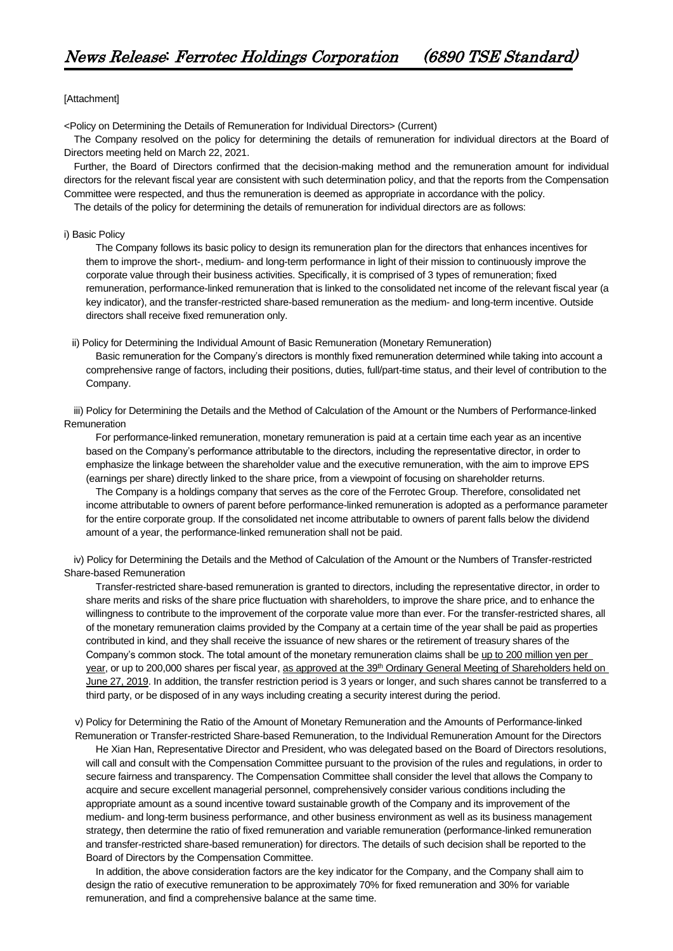## [Attachment]

<Policy on Determining the Details of Remuneration for Individual Directors> (Current)

 The Company resolved on the policy for determining the details of remuneration for individual directors at the Board of Directors meeting held on March 22, 2021.

 Further, the Board of Directors confirmed that the decision-making method and the remuneration amount for individual directors for the relevant fiscal year are consistent with such determination policy, and that the reports from the Compensation Committee were respected, and thus the remuneration is deemed as appropriate in accordance with the policy.

The details of the policy for determining the details of remuneration for individual directors are as follows:

### i) Basic Policy

The Company follows its basic policy to design its remuneration plan for the directors that enhances incentives for them to improve the short-, medium- and long-term performance in light of their mission to continuously improve the corporate value through their business activities. Specifically, it is comprised of 3 types of remuneration; fixed remuneration, performance-linked remuneration that is linked to the consolidated net income of the relevant fiscal year (a key indicator), and the transfer-restricted share-based remuneration as the medium- and long-term incentive. Outside directors shall receive fixed remuneration only.

ii) Policy for Determining the Individual Amount of Basic Remuneration (Monetary Remuneration)

Basic remuneration for the Company's directors is monthly fixed remuneration determined while taking into account a comprehensive range of factors, including their positions, duties, full/part-time status, and their level of contribution to the Company.

iii) Policy for Determining the Details and the Method of Calculation of the Amount or the Numbers of Performance-linked **Remuneration** 

For performance-linked remuneration, monetary remuneration is paid at a certain time each year as an incentive based on the Company's performance attributable to the directors, including the representative director, in order to emphasize the linkage between the shareholder value and the executive remuneration, with the aim to improve EPS (earnings per share) directly linked to the share price, from a viewpoint of focusing on shareholder returns.

The Company is a holdings company that serves as the core of the Ferrotec Group. Therefore, consolidated net income attributable to owners of parent before performance-linked remuneration is adopted as a performance parameter for the entire corporate group. If the consolidated net income attributable to owners of parent falls below the dividend amount of a year, the performance-linked remuneration shall not be paid.

iv) Policy for Determining the Details and the Method of Calculation of the Amount or the Numbers of Transfer-restricted Share-based Remuneration

Transfer-restricted share-based remuneration is granted to directors, including the representative director, in order to share merits and risks of the share price fluctuation with shareholders, to improve the share price, and to enhance the willingness to contribute to the improvement of the corporate value more than ever. For the transfer-restricted shares, all of the monetary remuneration claims provided by the Company at a certain time of the year shall be paid as properties contributed in kind, and they shall receive the issuance of new shares or the retirement of treasury shares of the Company's common stock. The total amount of the monetary remuneration claims shall be up to 200 million yen per year, or up to 200,000 shares per fiscal year, as approved at the 39th Ordinary General Meeting of Shareholders held on June 27, 2019. In addition, the transfer restriction period is 3 years or longer, and such shares cannot be transferred to a third party, or be disposed of in any ways including creating a security interest during the period.

v) Policy for Determining the Ratio of the Amount of Monetary Remuneration and the Amounts of Performance-linked Remuneration or Transfer-restricted Share-based Remuneration, to the Individual Remuneration Amount for the Directors

He Xian Han, Representative Director and President, who was delegated based on the Board of Directors resolutions, will call and consult with the Compensation Committee pursuant to the provision of the rules and regulations, in order to secure fairness and transparency. The Compensation Committee shall consider the level that allows the Company to acquire and secure excellent managerial personnel, comprehensively consider various conditions including the appropriate amount as a sound incentive toward sustainable growth of the Company and its improvement of the medium- and long-term business performance, and other business environment as well as its business management strategy, then determine the ratio of fixed remuneration and variable remuneration (performance-linked remuneration and transfer-restricted share-based remuneration) for directors. The details of such decision shall be reported to the Board of Directors by the Compensation Committee.

In addition, the above consideration factors are the key indicator for the Company, and the Company shall aim to design the ratio of executive remuneration to be approximately 70% for fixed remuneration and 30% for variable remuneration, and find a comprehensive balance at the same time.